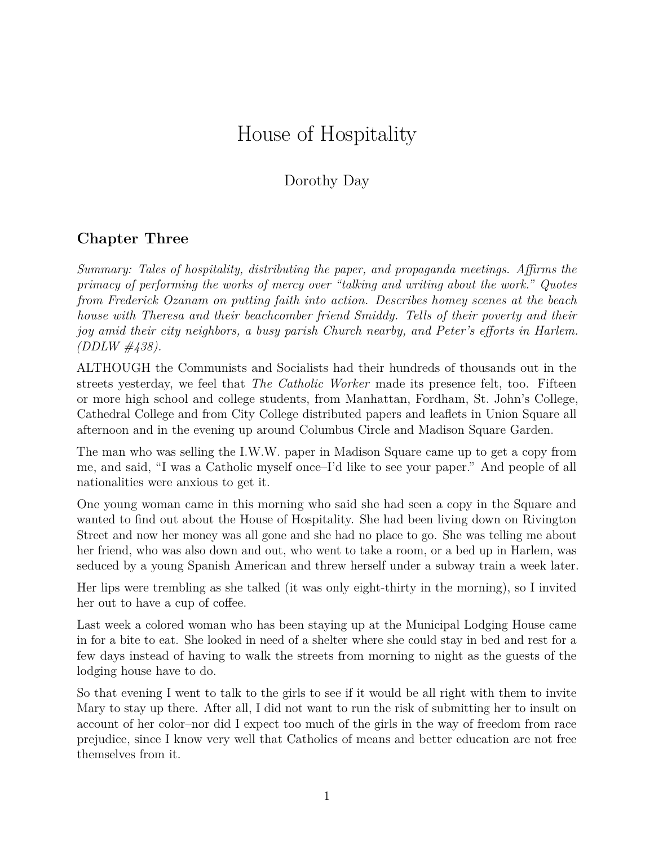# House of Hospitality

# Dorothy Day

### **Chapter Three**

*Summary: Tales of hospitality, distributing the paper, and propaganda meetings. Affirms the primacy of performing the works of mercy over "talking and writing about the work." Quotes from Frederick Ozanam on putting faith into action. Describes homey scenes at the beach house with Theresa and their beachcomber friend Smiddy. Tells of their poverty and their joy amid their city neighbors, a busy parish Church nearby, and Peter's efforts in Harlem. (DDLW #438).*

ALTHOUGH the Communists and Socialists had their hundreds of thousands out in the streets yesterday, we feel that *The Catholic Worker* made its presence felt, too. Fifteen or more high school and college students, from Manhattan, Fordham, St. John's College, Cathedral College and from City College distributed papers and leaflets in Union Square all afternoon and in the evening up around Columbus Circle and Madison Square Garden.

The man who was selling the I.W.W. paper in Madison Square came up to get a copy from me, and said, "I was a Catholic myself once–I'd like to see your paper." And people of all nationalities were anxious to get it.

One young woman came in this morning who said she had seen a copy in the Square and wanted to find out about the House of Hospitality. She had been living down on Rivington Street and now her money was all gone and she had no place to go. She was telling me about her friend, who was also down and out, who went to take a room, or a bed up in Harlem, was seduced by a young Spanish American and threw herself under a subway train a week later.

Her lips were trembling as she talked (it was only eight-thirty in the morning), so I invited her out to have a cup of coffee.

Last week a colored woman who has been staying up at the Municipal Lodging House came in for a bite to eat. She looked in need of a shelter where she could stay in bed and rest for a few days instead of having to walk the streets from morning to night as the guests of the lodging house have to do.

So that evening I went to talk to the girls to see if it would be all right with them to invite Mary to stay up there. After all, I did not want to run the risk of submitting her to insult on account of her color–nor did I expect too much of the girls in the way of freedom from race prejudice, since I know very well that Catholics of means and better education are not free themselves from it.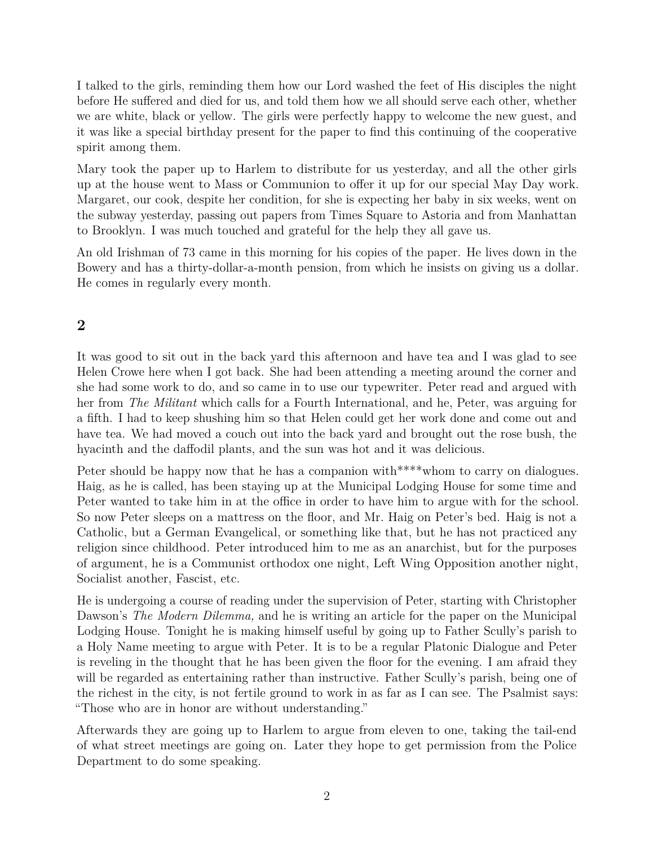I talked to the girls, reminding them how our Lord washed the feet of His disciples the night before He suffered and died for us, and told them how we all should serve each other, whether we are white, black or yellow. The girls were perfectly happy to welcome the new guest, and it was like a special birthday present for the paper to find this continuing of the cooperative spirit among them.

Mary took the paper up to Harlem to distribute for us yesterday, and all the other girls up at the house went to Mass or Communion to offer it up for our special May Day work. Margaret, our cook, despite her condition, for she is expecting her baby in six weeks, went on the subway yesterday, passing out papers from Times Square to Astoria and from Manhattan to Brooklyn. I was much touched and grateful for the help they all gave us.

An old Irishman of 73 came in this morning for his copies of the paper. He lives down in the Bowery and has a thirty-dollar-a-month pension, from which he insists on giving us a dollar. He comes in regularly every month.

## **2**

It was good to sit out in the back yard this afternoon and have tea and I was glad to see Helen Crowe here when I got back. She had been attending a meeting around the corner and she had some work to do, and so came in to use our typewriter. Peter read and argued with her from *The Militant* which calls for a Fourth International, and he, Peter, was arguing for a fifth. I had to keep shushing him so that Helen could get her work done and come out and have tea. We had moved a couch out into the back yard and brought out the rose bush, the hyacinth and the daffodil plants, and the sun was hot and it was delicious.

Peter should be happy now that he has a companion with<sup>\*\*\*\*</sup>whom to carry on dialogues. Haig, as he is called, has been staying up at the Municipal Lodging House for some time and Peter wanted to take him in at the office in order to have him to argue with for the school. So now Peter sleeps on a mattress on the floor, and Mr. Haig on Peter's bed. Haig is not a Catholic, but a German Evangelical, or something like that, but he has not practiced any religion since childhood. Peter introduced him to me as an anarchist, but for the purposes of argument, he is a Communist orthodox one night, Left Wing Opposition another night, Socialist another, Fascist, etc.

He is undergoing a course of reading under the supervision of Peter, starting with Christopher Dawson's *The Modern Dilemma,* and he is writing an article for the paper on the Municipal Lodging House. Tonight he is making himself useful by going up to Father Scully's parish to a Holy Name meeting to argue with Peter. It is to be a regular Platonic Dialogue and Peter is reveling in the thought that he has been given the floor for the evening. I am afraid they will be regarded as entertaining rather than instructive. Father Scully's parish, being one of the richest in the city, is not fertile ground to work in as far as I can see. The Psalmist says: "Those who are in honor are without understanding."

Afterwards they are going up to Harlem to argue from eleven to one, taking the tail-end of what street meetings are going on. Later they hope to get permission from the Police Department to do some speaking.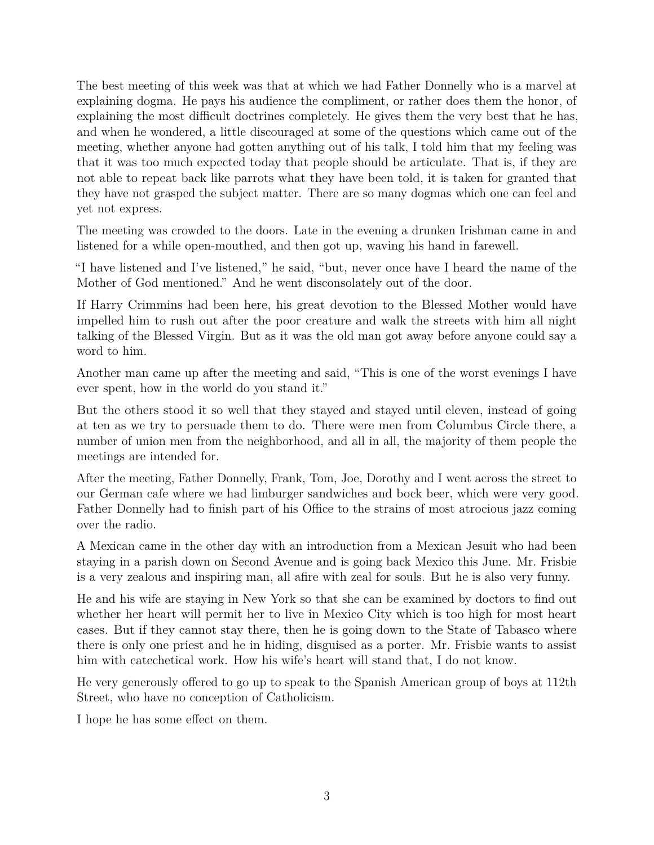The best meeting of this week was that at which we had Father Donnelly who is a marvel at explaining dogma. He pays his audience the compliment, or rather does them the honor, of explaining the most difficult doctrines completely. He gives them the very best that he has, and when he wondered, a little discouraged at some of the questions which came out of the meeting, whether anyone had gotten anything out of his talk, I told him that my feeling was that it was too much expected today that people should be articulate. That is, if they are not able to repeat back like parrots what they have been told, it is taken for granted that they have not grasped the subject matter. There are so many dogmas which one can feel and yet not express.

The meeting was crowded to the doors. Late in the evening a drunken Irishman came in and listened for a while open-mouthed, and then got up, waving his hand in farewell.

"I have listened and I've listened," he said, "but, never once have I heard the name of the Mother of God mentioned." And he went disconsolately out of the door.

If Harry Crimmins had been here, his great devotion to the Blessed Mother would have impelled him to rush out after the poor creature and walk the streets with him all night talking of the Blessed Virgin. But as it was the old man got away before anyone could say a word to him.

Another man came up after the meeting and said, "This is one of the worst evenings I have ever spent, how in the world do you stand it."

But the others stood it so well that they stayed and stayed until eleven, instead of going at ten as we try to persuade them to do. There were men from Columbus Circle there, a number of union men from the neighborhood, and all in all, the majority of them people the meetings are intended for.

After the meeting, Father Donnelly, Frank, Tom, Joe, Dorothy and I went across the street to our German cafe where we had limburger sandwiches and bock beer, which were very good. Father Donnelly had to finish part of his Office to the strains of most atrocious jazz coming over the radio.

A Mexican came in the other day with an introduction from a Mexican Jesuit who had been staying in a parish down on Second Avenue and is going back Mexico this June. Mr. Frisbie is a very zealous and inspiring man, all afire with zeal for souls. But he is also very funny.

He and his wife are staying in New York so that she can be examined by doctors to find out whether her heart will permit her to live in Mexico City which is too high for most heart cases. But if they cannot stay there, then he is going down to the State of Tabasco where there is only one priest and he in hiding, disguised as a porter. Mr. Frisbie wants to assist him with catechetical work. How his wife's heart will stand that, I do not know.

He very generously offered to go up to speak to the Spanish American group of boys at 112th Street, who have no conception of Catholicism.

I hope he has some effect on them.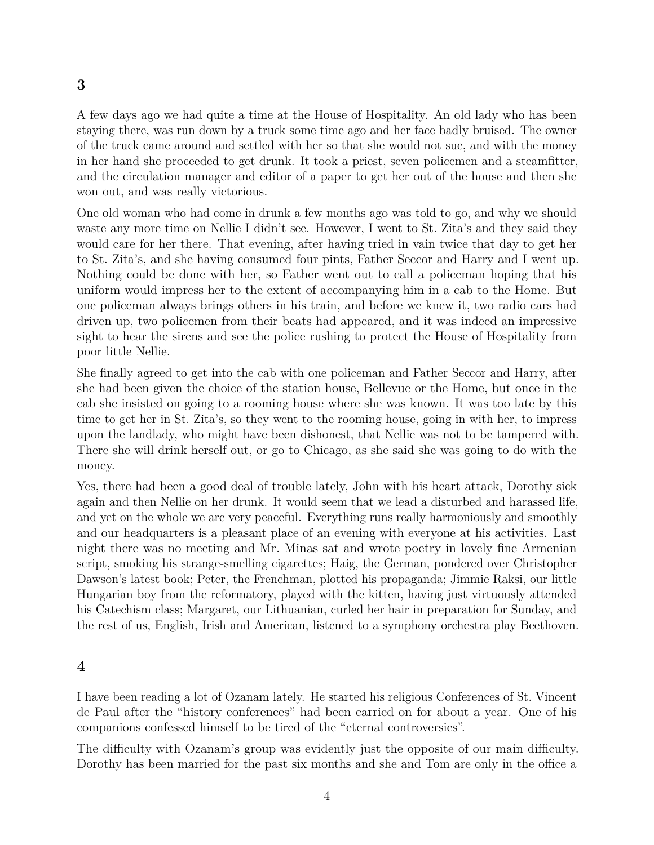A few days ago we had quite a time at the House of Hospitality. An old lady who has been staying there, was run down by a truck some time ago and her face badly bruised. The owner of the truck came around and settled with her so that she would not sue, and with the money in her hand she proceeded to get drunk. It took a priest, seven policemen and a steamfitter, and the circulation manager and editor of a paper to get her out of the house and then she won out, and was really victorious.

One old woman who had come in drunk a few months ago was told to go, and why we should waste any more time on Nellie I didn't see. However, I went to St. Zita's and they said they would care for her there. That evening, after having tried in vain twice that day to get her to St. Zita's, and she having consumed four pints, Father Seccor and Harry and I went up. Nothing could be done with her, so Father went out to call a policeman hoping that his uniform would impress her to the extent of accompanying him in a cab to the Home. But one policeman always brings others in his train, and before we knew it, two radio cars had driven up, two policemen from their beats had appeared, and it was indeed an impressive sight to hear the sirens and see the police rushing to protect the House of Hospitality from poor little Nellie.

She finally agreed to get into the cab with one policeman and Father Seccor and Harry, after she had been given the choice of the station house, Bellevue or the Home, but once in the cab she insisted on going to a rooming house where she was known. It was too late by this time to get her in St. Zita's, so they went to the rooming house, going in with her, to impress upon the landlady, who might have been dishonest, that Nellie was not to be tampered with. There she will drink herself out, or go to Chicago, as she said she was going to do with the money.

Yes, there had been a good deal of trouble lately, John with his heart attack, Dorothy sick again and then Nellie on her drunk. It would seem that we lead a disturbed and harassed life, and yet on the whole we are very peaceful. Everything runs really harmoniously and smoothly and our headquarters is a pleasant place of an evening with everyone at his activities. Last night there was no meeting and Mr. Minas sat and wrote poetry in lovely fine Armenian script, smoking his strange-smelling cigarettes; Haig, the German, pondered over Christopher Dawson's latest book; Peter, the Frenchman, plotted his propaganda; Jimmie Raksi, our little Hungarian boy from the reformatory, played with the kitten, having just virtuously attended his Catechism class; Margaret, our Lithuanian, curled her hair in preparation for Sunday, and the rest of us, English, Irish and American, listened to a symphony orchestra play Beethoven.

#### **4**

I have been reading a lot of Ozanam lately. He started his religious Conferences of St. Vincent de Paul after the "history conferences" had been carried on for about a year. One of his companions confessed himself to be tired of the "eternal controversies".

The difficulty with Ozanam's group was evidently just the opposite of our main difficulty. Dorothy has been married for the past six months and she and Tom are only in the office a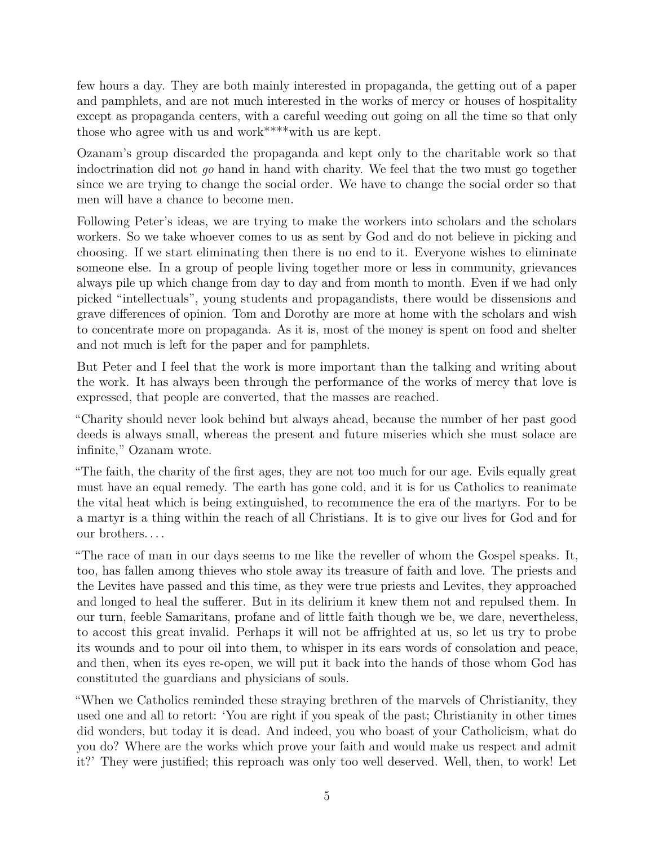few hours a day. They are both mainly interested in propaganda, the getting out of a paper and pamphlets, and are not much interested in the works of mercy or houses of hospitality except as propaganda centers, with a careful weeding out going on all the time so that only those who agree with us and work\*\*\*\*with us are kept.

Ozanam's group discarded the propaganda and kept only to the charitable work so that indoctrination did not *go* hand in hand with charity. We feel that the two must go together since we are trying to change the social order. We have to change the social order so that men will have a chance to become men.

Following Peter's ideas, we are trying to make the workers into scholars and the scholars workers. So we take whoever comes to us as sent by God and do not believe in picking and choosing. If we start eliminating then there is no end to it. Everyone wishes to eliminate someone else. In a group of people living together more or less in community, grievances always pile up which change from day to day and from month to month. Even if we had only picked "intellectuals", young students and propagandists, there would be dissensions and grave differences of opinion. Tom and Dorothy are more at home with the scholars and wish to concentrate more on propaganda. As it is, most of the money is spent on food and shelter and not much is left for the paper and for pamphlets.

But Peter and I feel that the work is more important than the talking and writing about the work. It has always been through the performance of the works of mercy that love is expressed, that people are converted, that the masses are reached.

"Charity should never look behind but always ahead, because the number of her past good deeds is always small, whereas the present and future miseries which she must solace are infinite," Ozanam wrote.

"The faith, the charity of the first ages, they are not too much for our age. Evils equally great must have an equal remedy. The earth has gone cold, and it is for us Catholics to reanimate the vital heat which is being extinguished, to recommence the era of the martyrs. For to be a martyr is a thing within the reach of all Christians. It is to give our lives for God and for our brothers. . . .

"The race of man in our days seems to me like the reveller of whom the Gospel speaks. It, too, has fallen among thieves who stole away its treasure of faith and love. The priests and the Levites have passed and this time, as they were true priests and Levites, they approached and longed to heal the sufferer. But in its delirium it knew them not and repulsed them. In our turn, feeble Samaritans, profane and of little faith though we be, we dare, nevertheless, to accost this great invalid. Perhaps it will not be affrighted at us, so let us try to probe its wounds and to pour oil into them, to whisper in its ears words of consolation and peace, and then, when its eyes re-open, we will put it back into the hands of those whom God has constituted the guardians and physicians of souls.

"When we Catholics reminded these straying brethren of the marvels of Christianity, they used one and all to retort: 'You are right if you speak of the past; Christianity in other times did wonders, but today it is dead. And indeed, you who boast of your Catholicism, what do you do? Where are the works which prove your faith and would make us respect and admit it?' They were justified; this reproach was only too well deserved. Well, then, to work! Let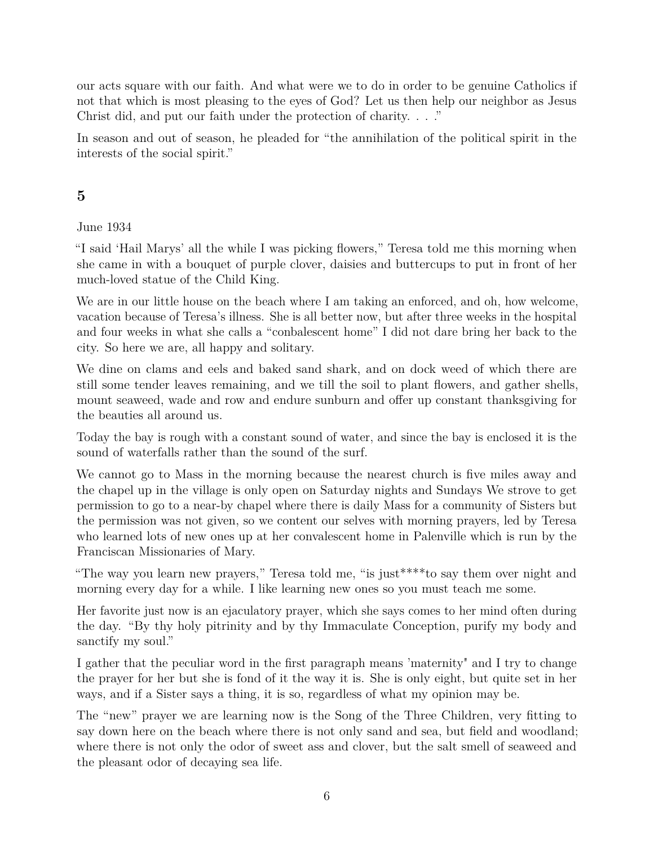our acts square with our faith. And what were we to do in order to be genuine Catholics if not that which is most pleasing to the eyes of God? Let us then help our neighbor as Jesus Christ did, and put our faith under the protection of charity. . . ."

In season and out of season, he pleaded for "the annihilation of the political spirit in the interests of the social spirit."

# **5**

June 1934

"I said 'Hail Marys' all the while I was picking flowers," Teresa told me this morning when she came in with a bouquet of purple clover, daisies and buttercups to put in front of her much-loved statue of the Child King.

We are in our little house on the beach where I am taking an enforced, and oh, how welcome, vacation because of Teresa's illness. She is all better now, but after three weeks in the hospital and four weeks in what she calls a "conbalescent home" I did not dare bring her back to the city. So here we are, all happy and solitary.

We dine on clams and eels and baked sand shark, and on dock weed of which there are still some tender leaves remaining, and we till the soil to plant flowers, and gather shells, mount seaweed, wade and row and endure sunburn and offer up constant thanksgiving for the beauties all around us.

Today the bay is rough with a constant sound of water, and since the bay is enclosed it is the sound of waterfalls rather than the sound of the surf.

We cannot go to Mass in the morning because the nearest church is five miles away and the chapel up in the village is only open on Saturday nights and Sundays We strove to get permission to go to a near-by chapel where there is daily Mass for a community of Sisters but the permission was not given, so we content our selves with morning prayers, led by Teresa who learned lots of new ones up at her convalescent home in Palenville which is run by the Franciscan Missionaries of Mary.

"The way you learn new prayers," Teresa told me, "is just\*\*\*\*to say them over night and morning every day for a while. I like learning new ones so you must teach me some.

Her favorite just now is an ejaculatory prayer, which she says comes to her mind often during the day. "By thy holy pitrinity and by thy Immaculate Conception, purify my body and sanctify my soul."

I gather that the peculiar word in the first paragraph means 'maternity" and I try to change the prayer for her but she is fond of it the way it is. She is only eight, but quite set in her ways, and if a Sister says a thing, it is so, regardless of what my opinion may be.

The "new" prayer we are learning now is the Song of the Three Children, very fitting to say down here on the beach where there is not only sand and sea, but field and woodland; where there is not only the odor of sweet ass and clover, but the salt smell of seaweed and the pleasant odor of decaying sea life.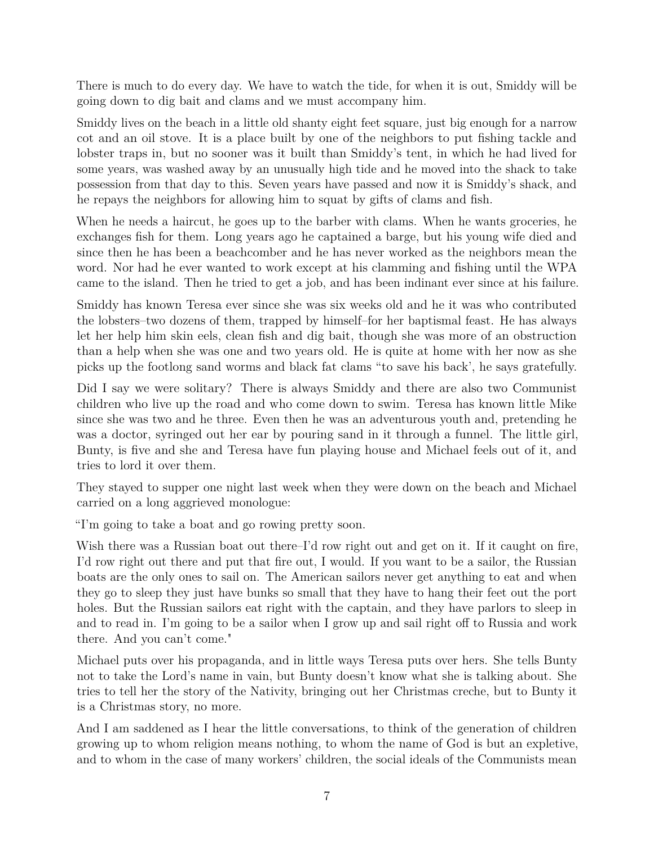There is much to do every day. We have to watch the tide, for when it is out, Smiddy will be going down to dig bait and clams and we must accompany him.

Smiddy lives on the beach in a little old shanty eight feet square, just big enough for a narrow cot and an oil stove. It is a place built by one of the neighbors to put fishing tackle and lobster traps in, but no sooner was it built than Smiddy's tent, in which he had lived for some years, was washed away by an unusually high tide and he moved into the shack to take possession from that day to this. Seven years have passed and now it is Smiddy's shack, and he repays the neighbors for allowing him to squat by gifts of clams and fish.

When he needs a haircut, he goes up to the barber with clams. When he wants groceries, he exchanges fish for them. Long years ago he captained a barge, but his young wife died and since then he has been a beachcomber and he has never worked as the neighbors mean the word. Nor had he ever wanted to work except at his clamming and fishing until the WPA came to the island. Then he tried to get a job, and has been indinant ever since at his failure.

Smiddy has known Teresa ever since she was six weeks old and he it was who contributed the lobsters–two dozens of them, trapped by himself–for her baptismal feast. He has always let her help him skin eels, clean fish and dig bait, though she was more of an obstruction than a help when she was one and two years old. He is quite at home with her now as she picks up the footlong sand worms and black fat clams "to save his back', he says gratefully.

Did I say we were solitary? There is always Smiddy and there are also two Communist children who live up the road and who come down to swim. Teresa has known little Mike since she was two and he three. Even then he was an adventurous youth and, pretending he was a doctor, syringed out her ear by pouring sand in it through a funnel. The little girl, Bunty, is five and she and Teresa have fun playing house and Michael feels out of it, and tries to lord it over them.

They stayed to supper one night last week when they were down on the beach and Michael carried on a long aggrieved monologue:

"I'm going to take a boat and go rowing pretty soon.

Wish there was a Russian boat out there–I'd row right out and get on it. If it caught on fire, I'd row right out there and put that fire out, I would. If you want to be a sailor, the Russian boats are the only ones to sail on. The American sailors never get anything to eat and when they go to sleep they just have bunks so small that they have to hang their feet out the port holes. But the Russian sailors eat right with the captain, and they have parlors to sleep in and to read in. I'm going to be a sailor when I grow up and sail right off to Russia and work there. And you can't come."

Michael puts over his propaganda, and in little ways Teresa puts over hers. She tells Bunty not to take the Lord's name in vain, but Bunty doesn't know what she is talking about. She tries to tell her the story of the Nativity, bringing out her Christmas creche, but to Bunty it is a Christmas story, no more.

And I am saddened as I hear the little conversations, to think of the generation of children growing up to whom religion means nothing, to whom the name of God is but an expletive, and to whom in the case of many workers' children, the social ideals of the Communists mean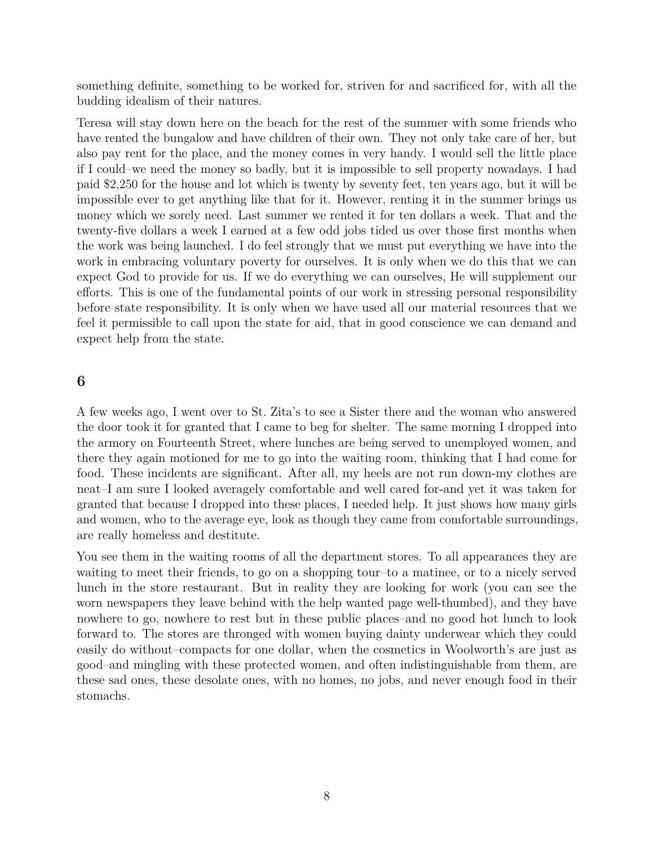something definite, something to be worked for, striven for and sacrificed for, with all the budding idealism of their natures.

Teresa will stay down here on the beach for the rest of the summer with some friends who have rented the bungalow and have children of their own. They not only take care of her, but also pay rent for the place, and the money comes in very handy. I would sell the little place if I could–we need the money so badly, but it is impossible to sell property nowadays. I had paid \$2,250 for the house and lot which is twenty by seventy feet, ten years ago, but it will be impossible ever to get anything like that for it. However, renting it in the summer brings us money which we sorely need. Last summer we rented it for ten dollars a week. That and the twenty-five dollars a week I earned at a few odd jobs tided us over those first months when the work was being launched. I do feel strongly that we must put everything we have into the work in embracing voluntary poverty for ourselves. It is only when we do this that we can expect God to provide for us. If we do everything we can ourselves, He will supplement our efforts. This is one of the fundamental points of our work in stressing personal responsibility before state responsibility. It is only when we have used all our material resources that we feel it permissible to call upon the state for aid, that in good conscience we can demand and expect help from the state.

#### **6**

A few weeks ago, I went over to St. Zita's to see a Sister there and the woman who answered the door took it for granted that I came to beg for shelter. The same morning I dropped into the armory on Fourteenth Street, where lunches are being served to unemployed women, and there they again motioned for me to go into the waiting room, thinking that I had come for food. These incidents are significant. After all, my heels are not run down-my clothes are neat–I am sure I looked averagely comfortable and well cared for-and yet it was taken for granted that because I dropped into these places, I needed help. It just shows how many girls and women, who to the average eye, look as though they came from comfortable surroundings, are really homeless and destitute.

You see them in the waiting rooms of all the department stores. To all appearances they are waiting to meet their friends, to go on a shopping tour–to a matinee, or to a nicely served lunch in the store restaurant. But in reality they are looking for work (you can see the worn newspapers they leave behind with the help wanted page well-thumbed), and they have nowhere to go, nowhere to rest but in these public places–and no good hot lunch to look forward to. The stores are thronged with women buying dainty underwear which they could easily do without–compacts for one dollar, when the cosmetics in Woolworth's are just as good–and mingling with these protected women, and often indistinguishable from them, are these sad ones, these desolate ones, with no homes, no jobs, and never enough food in their stomachs.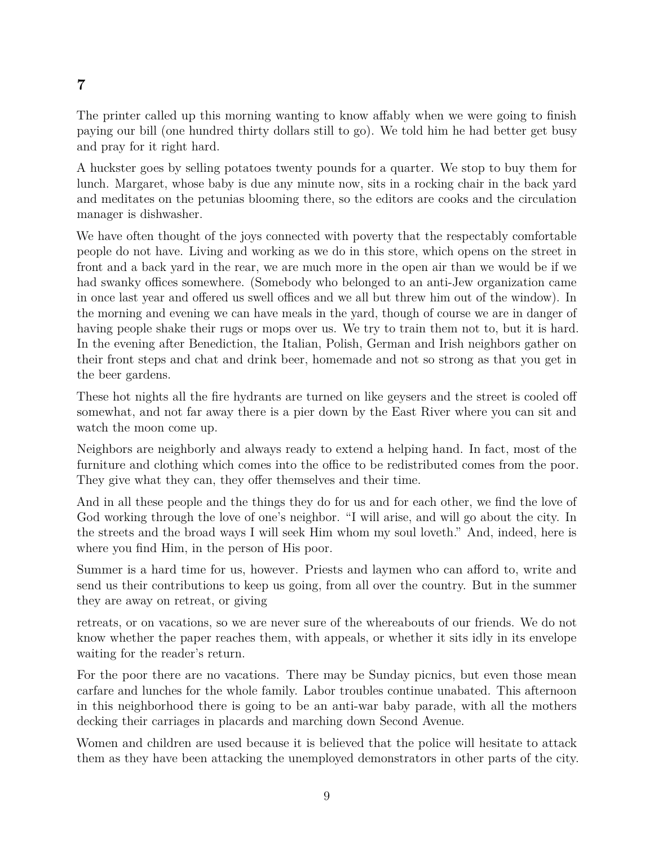#### **7**

The printer called up this morning wanting to know affably when we were going to finish paying our bill (one hundred thirty dollars still to go). We told him he had better get busy and pray for it right hard.

A huckster goes by selling potatoes twenty pounds for a quarter. We stop to buy them for lunch. Margaret, whose baby is due any minute now, sits in a rocking chair in the back yard and meditates on the petunias blooming there, so the editors are cooks and the circulation manager is dishwasher.

We have often thought of the joys connected with poverty that the respectably comfortable people do not have. Living and working as we do in this store, which opens on the street in front and a back yard in the rear, we are much more in the open air than we would be if we had swanky offices somewhere. (Somebody who belonged to an anti-Jew organization came in once last year and offered us swell offices and we all but threw him out of the window). In the morning and evening we can have meals in the yard, though of course we are in danger of having people shake their rugs or mops over us. We try to train them not to, but it is hard. In the evening after Benediction, the Italian, Polish, German and Irish neighbors gather on their front steps and chat and drink beer, homemade and not so strong as that you get in the beer gardens.

These hot nights all the fire hydrants are turned on like geysers and the street is cooled off somewhat, and not far away there is a pier down by the East River where you can sit and watch the moon come up.

Neighbors are neighborly and always ready to extend a helping hand. In fact, most of the furniture and clothing which comes into the office to be redistributed comes from the poor. They give what they can, they offer themselves and their time.

And in all these people and the things they do for us and for each other, we find the love of God working through the love of one's neighbor. "I will arise, and will go about the city. In the streets and the broad ways I will seek Him whom my soul loveth." And, indeed, here is where you find Him, in the person of His poor.

Summer is a hard time for us, however. Priests and laymen who can afford to, write and send us their contributions to keep us going, from all over the country. But in the summer they are away on retreat, or giving

retreats, or on vacations, so we are never sure of the whereabouts of our friends. We do not know whether the paper reaches them, with appeals, or whether it sits idly in its envelope waiting for the reader's return.

For the poor there are no vacations. There may be Sunday picnics, but even those mean carfare and lunches for the whole family. Labor troubles continue unabated. This afternoon in this neighborhood there is going to be an anti-war baby parade, with all the mothers decking their carriages in placards and marching down Second Avenue.

Women and children are used because it is believed that the police will hesitate to attack them as they have been attacking the unemployed demonstrators in other parts of the city.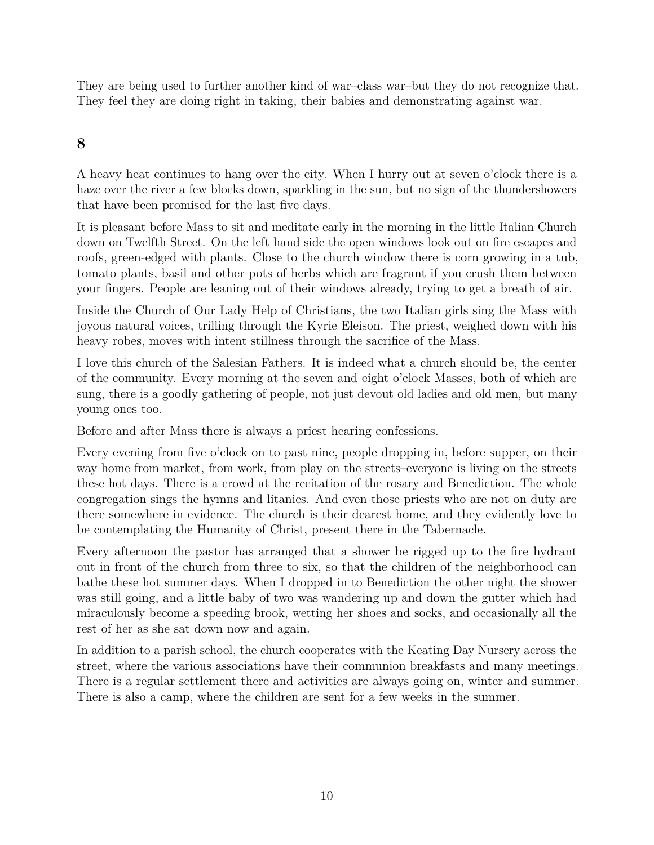They are being used to further another kind of war–class war–but they do not recognize that. They feel they are doing right in taking, their babies and demonstrating against war.

### **8**

A heavy heat continues to hang over the city. When I hurry out at seven o'clock there is a haze over the river a few blocks down, sparkling in the sun, but no sign of the thundershowers that have been promised for the last five days.

It is pleasant before Mass to sit and meditate early in the morning in the little Italian Church down on Twelfth Street. On the left hand side the open windows look out on fire escapes and roofs, green-edged with plants. Close to the church window there is corn growing in a tub, tomato plants, basil and other pots of herbs which are fragrant if you crush them between your fingers. People are leaning out of their windows already, trying to get a breath of air.

Inside the Church of Our Lady Help of Christians, the two Italian girls sing the Mass with joyous natural voices, trilling through the Kyrie Eleison. The priest, weighed down with his heavy robes, moves with intent stillness through the sacrifice of the Mass.

I love this church of the Salesian Fathers. It is indeed what a church should be, the center of the community. Every morning at the seven and eight o'clock Masses, both of which are sung, there is a goodly gathering of people, not just devout old ladies and old men, but many young ones too.

Before and after Mass there is always a priest hearing confessions.

Every evening from five o'clock on to past nine, people dropping in, before supper, on their way home from market, from work, from play on the streets–everyone is living on the streets these hot days. There is a crowd at the recitation of the rosary and Benediction. The whole congregation sings the hymns and litanies. And even those priests who are not on duty are there somewhere in evidence. The church is their dearest home, and they evidently love to be contemplating the Humanity of Christ, present there in the Tabernacle.

Every afternoon the pastor has arranged that a shower be rigged up to the fire hydrant out in front of the church from three to six, so that the children of the neighborhood can bathe these hot summer days. When I dropped in to Benediction the other night the shower was still going, and a little baby of two was wandering up and down the gutter which had miraculously become a speeding brook, wetting her shoes and socks, and occasionally all the rest of her as she sat down now and again.

In addition to a parish school, the church cooperates with the Keating Day Nursery across the street, where the various associations have their communion breakfasts and many meetings. There is a regular settlement there and activities are always going on, winter and summer. There is also a camp, where the children are sent for a few weeks in the summer.